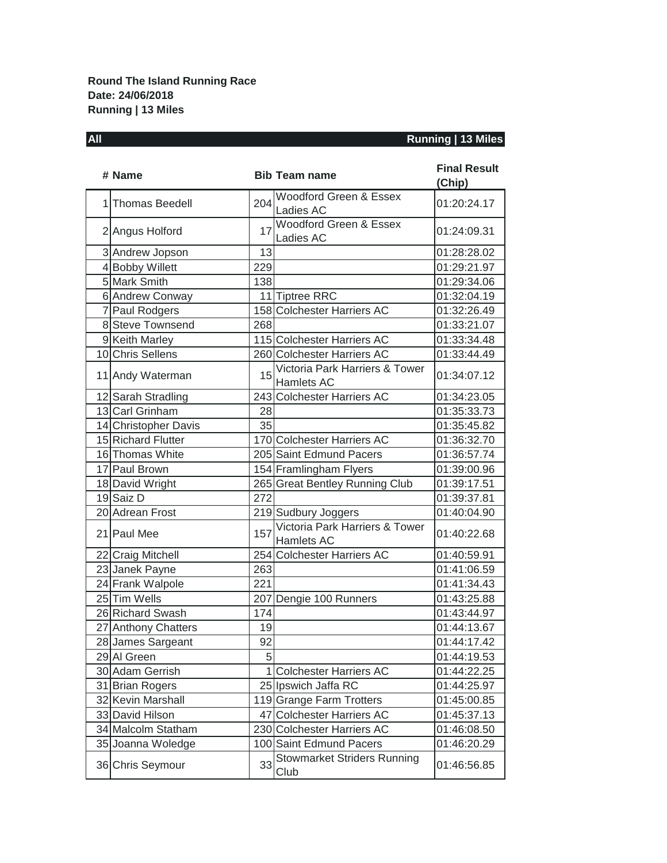## **All Running | 13 Miles**

| # Name               |          | <b>Bib Team name</b>                         | <b>Final Result</b><br>(Chip) |
|----------------------|----------|----------------------------------------------|-------------------------------|
| 1 Thomas Beedell     | 204      | Woodford Green & Essex<br>Ladies AC          | 01:20:24.17                   |
| 2 Angus Holford      | 17       | Woodford Green & Essex<br>Ladies AC          | 01:24:09.31                   |
| 3 Andrew Jopson      | 13       |                                              | 01:28:28.02                   |
| 4 Bobby Willett      | 229      |                                              | 01:29:21.97                   |
| 5 Mark Smith         | 138      |                                              | 01:29:34.06                   |
| 6 Andrew Conway      |          | 11 Tiptree RRC                               | 01:32:04.19                   |
| 7 Paul Rodgers       |          | 158 Colchester Harriers AC                   | 01:32:26.49                   |
| 8 Steve Townsend     | 268      |                                              | 01:33:21.07                   |
| 9 Keith Marley       |          | 115 Colchester Harriers AC                   | 01:33:34.48                   |
| 10 Chris Sellens     |          | 260 Colchester Harriers AC                   | 01:33:44.49                   |
| 11 Andy Waterman     | 15       | Victoria Park Harriers & Tower<br>Hamlets AC | 01:34:07.12                   |
| 12 Sarah Stradling   |          | 243 Colchester Harriers AC                   | 01:34:23.05                   |
| 13 Carl Grinham      | 28       |                                              | 01:35:33.73                   |
| 14 Christopher Davis | 35       |                                              | 01:35:45.82                   |
| 15 Richard Flutter   |          | 170 Colchester Harriers AC                   | 01:36:32.70                   |
| 16 Thomas White      |          | 205 Saint Edmund Pacers                      | 01:36:57.74                   |
| 17 Paul Brown        |          | 154 Framlingham Flyers                       | 01:39:00.96                   |
| 18 David Wright      |          | 265 Great Bentley Running Club               | 01:39:17.51                   |
| 19 Saiz D            | 272      |                                              | 01:39:37.81                   |
| 20 Adrean Frost      |          | 219 Sudbury Joggers                          | 01:40:04.90                   |
| 21 Paul Mee          | 157      | Victoria Park Harriers & Tower<br>Hamlets AC | 01:40:22.68                   |
| 22 Craig Mitchell    |          | 254 Colchester Harriers AC                   | 01:40:59.91                   |
| 23 Janek Payne       | 263      |                                              | 01:41:06.59                   |
| 24 Frank Walpole     | 221      |                                              | 01:41:34.43                   |
| 25 Tim Wells         |          | 207 Dengie 100 Runners                       | 01:43:25.88                   |
| 26 Richard Swash     | 174      |                                              | 01:43:44.97                   |
| 27 Anthony Chatters  | 19       |                                              | 01:44:13.67                   |
| 28 James Sargeant    | 92       |                                              | 01:44:17.42                   |
| 29 Al Green          | $5 \mid$ |                                              | 01:44:19.53                   |
| 30 Adam Gerrish      |          | <b>Colchester Harriers AC</b>                | 01:44:22.25                   |
| 31 Brian Rogers      |          | 25 Ipswich Jaffa RC                          | 01:44:25.97                   |
| 32 Kevin Marshall    |          | 119 Grange Farm Trotters                     | 01:45:00.85                   |
| 33 David Hilson      |          | 47 Colchester Harriers AC                    | 01:45:37.13                   |
| 34 Malcolm Statham   |          | 230 Colchester Harriers AC                   | 01:46:08.50                   |
| 35 Joanna Woledge    |          | 100 Saint Edmund Pacers                      | 01:46:20.29                   |
| 36 Chris Seymour     | 33       | <b>Stowmarket Striders Running</b><br>Club   | 01:46:56.85                   |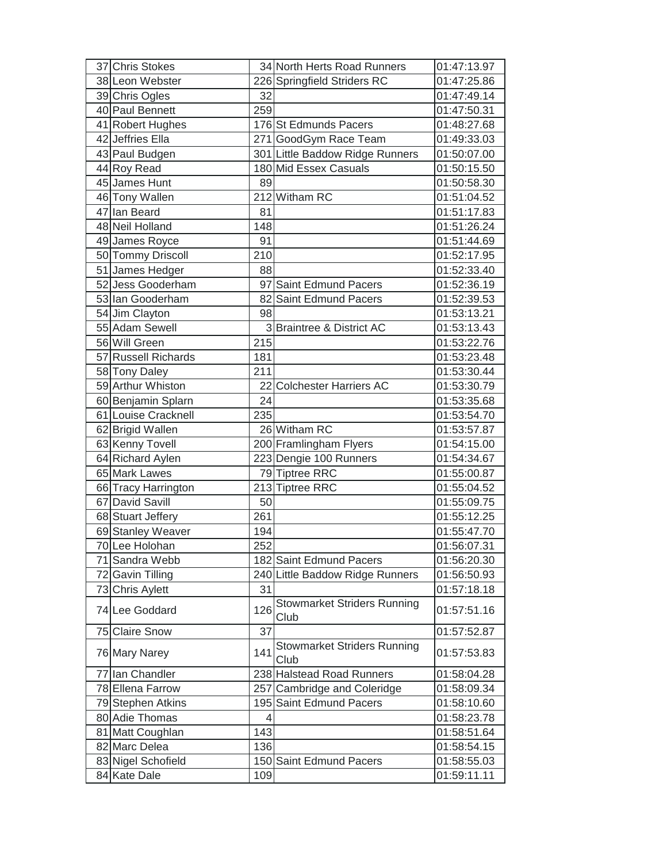| 37 Chris Stokes     |     | 34 North Herts Road Runners                | 01:47:13.97 |
|---------------------|-----|--------------------------------------------|-------------|
| 38 Leon Webster     |     | 226 Springfield Striders RC                | 01:47:25.86 |
| 39 Chris Ogles      | 32  |                                            | 01:47:49.14 |
| 40 Paul Bennett     | 259 |                                            | 01:47:50.31 |
| 41 Robert Hughes    |     | 176 St Edmunds Pacers                      | 01:48:27.68 |
| 42 Jeffries Ella    |     | 271 GoodGym Race Team                      | 01:49:33.03 |
| 43 Paul Budgen      |     | 301 Little Baddow Ridge Runners            | 01:50:07.00 |
| 44 Roy Read         |     | 180 Mid Essex Casuals                      | 01:50:15.50 |
| 45 James Hunt       | 89  |                                            | 01:50:58.30 |
| 46 Tony Wallen      |     | 212 Witham RC                              | 01:51:04.52 |
| 47 Ian Beard        | 81  |                                            | 01:51:17.83 |
| 48 Neil Holland     | 148 |                                            | 01:51:26.24 |
| 49 James Royce      | 91  |                                            | 01:51:44.69 |
| 50 Tommy Driscoll   | 210 |                                            | 01:52:17.95 |
| 51 James Hedger     | 88  |                                            | 01:52:33.40 |
| 52 Jess Gooderham   |     | 97 Saint Edmund Pacers                     | 01:52:36.19 |
| 53 Ian Gooderham    |     | 82 Saint Edmund Pacers                     | 01:52:39.53 |
| 54 Jim Clayton      | 98  |                                            | 01:53:13.21 |
| 55 Adam Sewell      |     | 3 Braintree & District AC                  | 01:53:13.43 |
| 56 Will Green       | 215 |                                            | 01:53:22.76 |
| 57 Russell Richards | 181 |                                            | 01:53:23.48 |
| 58 Tony Daley       | 211 |                                            | 01:53:30.44 |
| 59 Arthur Whiston   |     | 22 Colchester Harriers AC                  | 01:53:30.79 |
| 60 Benjamin Splarn  | 24  |                                            | 01:53:35.68 |
| 61 Louise Cracknell | 235 |                                            | 01:53:54.70 |
| 62 Brigid Wallen    |     | 26 Witham RC                               | 01:53:57.87 |
| 63 Kenny Tovell     |     | 200 Framlingham Flyers                     | 01:54:15.00 |
| 64 Richard Aylen    |     | 223 Dengie 100 Runners                     | 01:54:34.67 |
| 65 Mark Lawes       |     | 79 Tiptree RRC                             | 01:55:00.87 |
| 66 Tracy Harrington |     | 213 Tiptree RRC                            | 01:55:04.52 |
| 67 David Savill     | 50  |                                            | 01:55:09.75 |
| 68 Stuart Jeffery   | 261 |                                            | 01:55:12.25 |
| 69 Stanley Weaver   | 194 |                                            | 01:55:47.70 |
| 70 Lee Holohan      | 252 |                                            | 01:56:07.31 |
| 71 Sandra Webb      |     | 182 Saint Edmund Pacers                    | 01:56:20.30 |
| 72 Gavin Tilling    |     | 240 Little Baddow Ridge Runners            | 01:56:50.93 |
| 73 Chris Aylett     | 31  |                                            | 01:57:18.18 |
| 74 Lee Goddard      |     |                                            |             |
|                     | 126 | <b>Stowmarket Striders Running</b><br>Club | 01:57:51.16 |
| 75 Claire Snow      | 37  |                                            | 01:57:52.87 |
| 76 Mary Narey       | 141 | <b>Stowmarket Striders Running</b><br>Club | 01:57:53.83 |
| 77 Ian Chandler     |     | 238 Halstead Road Runners                  | 01:58:04.28 |
| 78 Ellena Farrow    |     | 257 Cambridge and Coleridge                | 01:58:09.34 |
| 79 Stephen Atkins   |     | 195 Saint Edmund Pacers                    | 01:58:10.60 |
| 80 Adie Thomas      | 4   |                                            | 01:58:23.78 |
| 81 Matt Coughlan    | 143 |                                            | 01:58:51.64 |
| 82 Marc Delea       | 136 |                                            | 01:58:54.15 |
| 83 Nigel Schofield  |     | 150 Saint Edmund Pacers                    | 01:58:55.03 |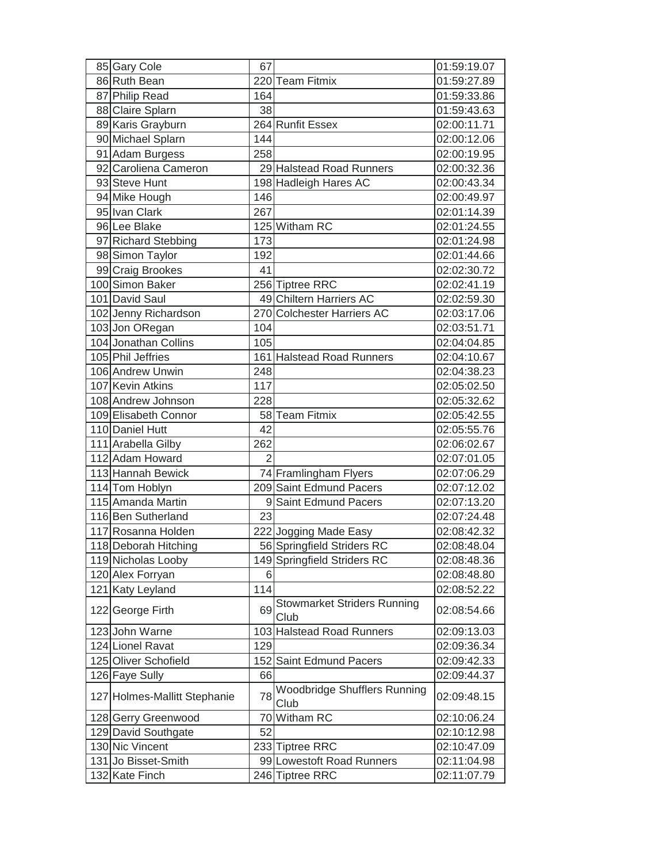| 85 Gary Cole                 | 67             |                                             | 01:59:19.07 |
|------------------------------|----------------|---------------------------------------------|-------------|
| 86 Ruth Bean                 |                | 220 Team Fitmix                             | 01:59:27.89 |
| 87 Philip Read               | 164            |                                             | 01:59:33.86 |
| 88 Claire Splarn             | 38             |                                             | 01:59:43.63 |
| 89 Karis Grayburn            |                | 264 Runfit Essex                            | 02:00:11.71 |
| 90 Michael Splarn            | 144            |                                             | 02:00:12.06 |
| 91 Adam Burgess              | 258            |                                             | 02:00:19.95 |
| 92 Caroliena Cameron         |                | 29 Halstead Road Runners                    | 02:00:32.36 |
| 93 Steve Hunt                |                | 198 Hadleigh Hares AC                       | 02:00:43.34 |
| 94 Mike Hough                | 146            |                                             | 02:00:49.97 |
| 95 Ivan Clark                | 267            |                                             | 02:01:14.39 |
| 96 Lee Blake                 |                | 125 Witham RC                               | 02:01:24.55 |
| 97 Richard Stebbing          | 173            |                                             | 02:01:24.98 |
| 98 Simon Taylor              | 192            |                                             | 02:01:44.66 |
| 99 Craig Brookes             | 41             |                                             | 02:02:30.72 |
| 100 Simon Baker              |                | 256 Tiptree RRC                             | 02:02:41.19 |
| 101 David Saul               |                | 49 Chiltern Harriers AC                     | 02:02:59.30 |
| 102 Jenny Richardson         |                | 270 Colchester Harriers AC                  | 02:03:17.06 |
| 103 Jon ORegan               | 104            |                                             | 02:03:51.71 |
| 104 Jonathan Collins         | 105            |                                             | 02:04:04.85 |
| 105 Phil Jeffries            |                | 161 Halstead Road Runners                   | 02:04:10.67 |
| 106 Andrew Unwin             | 248            |                                             | 02:04:38.23 |
| 107 Kevin Atkins             | 117            |                                             | 02:05:02.50 |
| 108 Andrew Johnson           | 228            |                                             | 02:05:32.62 |
| 109 Elisabeth Connor         |                | 58 Team Fitmix                              | 02:05:42.55 |
| 110 Daniel Hutt              | 42             |                                             | 02:05:55.76 |
| 111 Arabella Gilby           | 262            |                                             | 02:06:02.67 |
| 112 Adam Howard              | $\overline{2}$ |                                             | 02:07:01.05 |
| 113 Hannah Bewick            |                | 74 Framlingham Flyers                       | 02:07:06.29 |
| 114 Tom Hoblyn               |                | 209 Saint Edmund Pacers                     | 02:07:12.02 |
| 115 Amanda Martin            |                | 9 Saint Edmund Pacers                       | 02:07:13.20 |
| 116 Ben Sutherland           | 23             |                                             | 02:07:24.48 |
| 117 Rosanna Holden           |                | 222 Jogging Made Easy                       | 02:08:42.32 |
| 118 Deborah Hitching         |                | 56 Springfield Striders RC                  | 02:08:48.04 |
| 119 Nicholas Looby           |                | 149 Springfield Striders RC                 | 02:08:48.36 |
| 120 Alex Forryan             | 6              |                                             | 02:08:48.80 |
| 121 Katy Leyland             | 114            |                                             | 02:08:52.22 |
| 122 George Firth             | 69             | <b>Stowmarket Striders Running</b><br>Club  | 02:08:54.66 |
| 123 John Warne               |                | 103 Halstead Road Runners                   | 02:09:13.03 |
| 124 Lionel Ravat             | 129            |                                             | 02:09:36.34 |
| 125 Oliver Schofield         |                | 152 Saint Edmund Pacers                     | 02:09:42.33 |
| 126 Faye Sully               | 66             |                                             | 02:09:44.37 |
| 127 Holmes-Mallitt Stephanie | 78             | <b>Woodbridge Shufflers Running</b><br>Club | 02:09:48.15 |
| 128 Gerry Greenwood          |                | 70 Witham RC                                | 02:10:06.24 |
| 129 David Southgate          | 52             |                                             | 02:10:12.98 |
| 130 Nic Vincent              |                | 233 Tiptree RRC                             | 02:10:47.09 |
| 131 Jo Bisset-Smith          |                | 99 Lowestoft Road Runners                   | 02:11:04.98 |
| 132 Kate Finch               |                | 246 Tiptree RRC                             | 02:11:07.79 |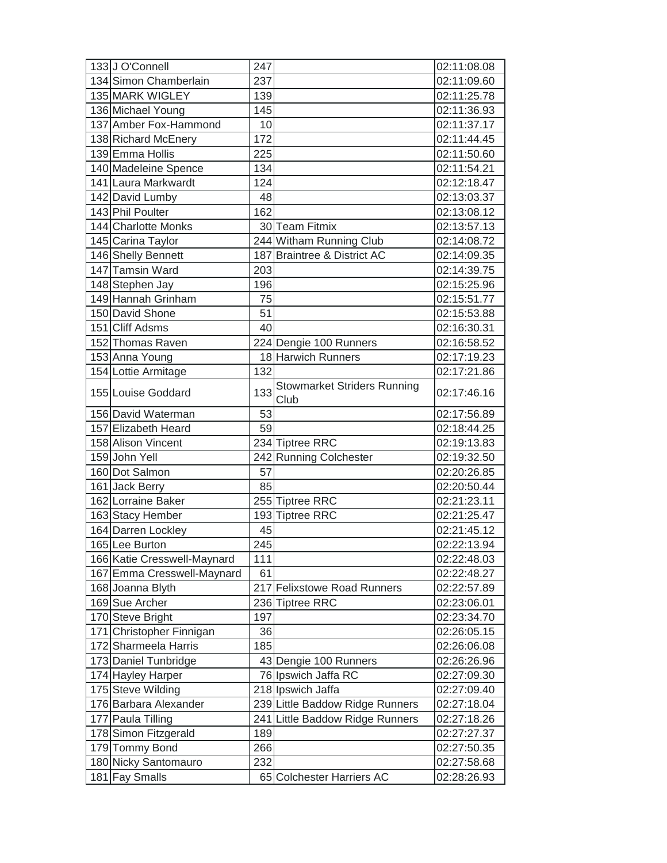| 133J O'Connell                         | 247 |                                            | 02:11:08.08                |
|----------------------------------------|-----|--------------------------------------------|----------------------------|
| 134 Simon Chamberlain                  | 237 |                                            | 02:11:09.60                |
| 135 MARK WIGLEY                        | 139 |                                            | 02:11:25.78                |
| 136 Michael Young                      | 145 |                                            | 02:11:36.93                |
| 137 Amber Fox-Hammond                  | 10  |                                            | 02:11:37.17                |
| 138 Richard McEnery                    | 172 |                                            | 02:11:44.45                |
| 139 Emma Hollis                        | 225 |                                            | 02:11:50.60                |
| 140 Madeleine Spence                   | 134 |                                            | 02:11:54.21                |
| 141 Laura Markwardt                    | 124 |                                            | 02:12:18.47                |
| 142 David Lumby                        | 48  |                                            | 02:13:03.37                |
| 143 Phil Poulter                       | 162 |                                            | 02:13:08.12                |
| 144 Charlotte Monks                    |     | 30 Team Fitmix                             | 02:13:57.13                |
| 145 Carina Taylor                      |     | 244 Witham Running Club                    | 02:14:08.72                |
| 146 Shelly Bennett                     |     | 187 Braintree & District AC                | 02:14:09.35                |
| 147 Tamsin Ward                        | 203 |                                            | 02:14:39.75                |
| 148 Stephen Jay                        | 196 |                                            | 02:15:25.96                |
| 149 Hannah Grinham                     | 75  |                                            | 02:15:51.77                |
| 150 David Shone                        | 51  |                                            | 02:15:53.88                |
| 151 Cliff Adsms                        | 40  |                                            | 02:16:30.31                |
| 152 Thomas Raven                       |     | 224 Dengie 100 Runners                     | 02:16:58.52                |
| 153 Anna Young                         |     | 18 Harwich Runners                         | 02:17:19.23                |
| 154 Lottie Armitage                    | 132 |                                            | 02:17:21.86                |
| 155 Louise Goddard                     | 133 | <b>Stowmarket Striders Running</b><br>Club | 02:17:46.16                |
| 156 David Waterman                     | 53  |                                            | 02:17:56.89                |
| 157 Elizabeth Heard                    | 59  |                                            | 02:18:44.25                |
| 158 Alison Vincent                     |     | 234 Tiptree RRC                            | 02:19:13.83                |
| 159 John Yell                          |     | 242 Running Colchester                     | 02:19:32.50                |
| 160 Dot Salmon                         | 57  |                                            | 02:20:26.85                |
| 161 Jack Berry                         | 85  |                                            | 02:20:50.44                |
| 162 Lorraine Baker                     |     | 255 Tiptree RRC                            | 02:21:23.11                |
| 163 Stacy Hember                       |     | 193 Tiptree RRC                            | 02:21:25.47                |
| 164 Darren Lockley                     | 45  |                                            | 02:21:45.12                |
| 165 Lee Burton                         | 245 |                                            | 02:22:13.94                |
| 166 Katie Cresswell-Maynard            | 111 |                                            | 02:22:48.03                |
| 167 Emma Cresswell-Maynard             |     |                                            |                            |
| 168 Joanna Blyth                       | 61  |                                            | 02:22:48.27                |
|                                        |     | 217 Felixstowe Road Runners                | 02:22:57.89                |
| 169 Sue Archer                         |     | 236 Tiptree RRC                            | 02:23:06.01                |
| 170 Steve Bright                       | 197 |                                            | 02:23:34.70                |
| 171 Christopher Finnigan               | 36  |                                            | 02:26:05.15                |
| 172 Sharmeela Harris                   | 185 |                                            | 02:26:06.08                |
| 173 Daniel Tunbridge                   |     | 43 Dengie 100 Runners                      | 02:26:26.96                |
| 174 Hayley Harper                      |     | 76 Ipswich Jaffa RC                        | 02:27:09.30                |
| 175 Steve Wilding                      |     | 218 Ipswich Jaffa                          | 02:27:09.40                |
| 176 Barbara Alexander                  |     | 239 Little Baddow Ridge Runners            | 02:27:18.04                |
| 177 Paula Tilling                      | 241 | Little Baddow Ridge Runners                | 02:27:18.26                |
| 178 Simon Fitzgerald                   | 189 |                                            | 02:27:27.37                |
| 179 Tommy Bond                         | 266 |                                            | 02:27:50.35                |
| 180 Nicky Santomauro<br>181 Fay Smalls | 232 | 65 Colchester Harriers AC                  | 02:27:58.68<br>02:28:26.93 |